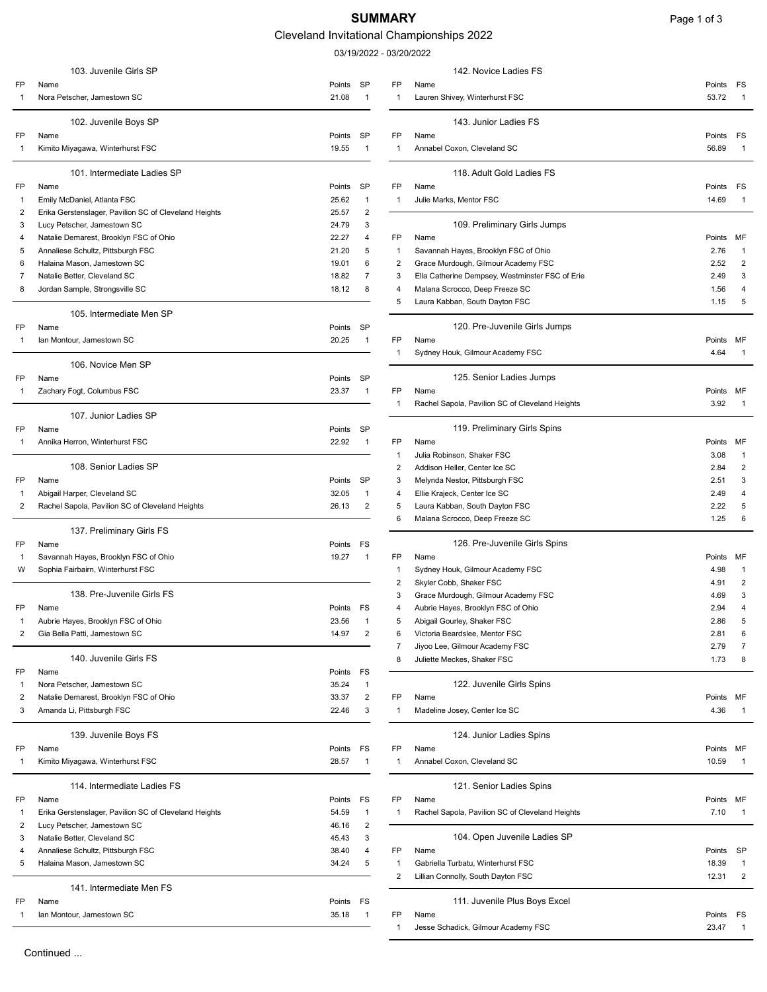# SUMMARY Page 1 of 3

## Cleveland Invitational Championships 2022

03/19/2022 - 03/20/2022

|              | 103. Juvenile Girls SP                                |                         |                | 142. Novice Ladies FS                           |           |                         |
|--------------|-------------------------------------------------------|-------------------------|----------------|-------------------------------------------------|-----------|-------------------------|
| FP           | Name                                                  | SP<br>Points            | <b>FP</b>      | Name                                            | Points FS |                         |
| 1            | Nora Petscher, Jamestown SC                           | $\mathbf{1}$<br>21.08   | $\mathbf{1}$   | Lauren Shivey, Winterhurst FSC                  | 53.72     |                         |
|              | 102. Juvenile Boys SP                                 |                         |                | 143. Junior Ladies FS                           |           |                         |
| FP           | Name                                                  | Points<br>SP            | FP             | Name                                            | Points FS |                         |
| $\mathbf{1}$ | Kimito Miyagawa, Winterhurst FSC                      | 19.55<br>$\overline{1}$ | $\mathbf{1}$   | Annabel Coxon, Cleveland SC                     | 56.89     |                         |
|              |                                                       |                         |                |                                                 |           |                         |
|              | 101. Intermediate Ladies SP                           |                         |                | 118. Adult Gold Ladies FS                       |           |                         |
| FP           | Name                                                  | SP<br>Points            | FP             | Name                                            | Points FS |                         |
| -1           | Emily McDaniel, Atlanta FSC                           | 25.62<br>$\mathbf{1}$   | -1             | Julie Marks, Mentor FSC                         | 14.69     | -1                      |
| 2            | Erika Gerstenslager, Pavilion SC of Cleveland Heights | $\overline{2}$<br>25.57 |                |                                                 |           |                         |
| 3            | Lucy Petscher, Jamestown SC                           | 3<br>24.79              |                | 109. Preliminary Girls Jumps                    |           |                         |
| 4            | Natalie Demarest, Brooklyn FSC of Ohio                | 22.27<br>4              | FP             | Name                                            | Points MF |                         |
| 5            | Annaliese Schultz, Pittsburgh FSC                     | 5<br>21.20              | -1             | Savannah Hayes, Brooklyn FSC of Ohio            | 2.76      | -1                      |
| 6            | Halaina Mason, Jamestown SC                           | 19.01<br>6              | 2              | Grace Murdough, Gilmour Academy FSC             | 2.52      | $\overline{\mathbf{c}}$ |
| 7            | Natalie Better, Cleveland SC                          | 18.82<br>7              | 3              | Ella Catherine Dempsey, Westminster FSC of Erie | 2.49      | 3                       |
| 8            | Jordan Sample, Strongsville SC                        | 8<br>18.12              | 4              | Malana Scrocco, Deep Freeze SC                  | 1.56      | 4                       |
|              |                                                       |                         | 5              | Laura Kabban, South Dayton FSC                  | 1.15      | 5                       |
|              | 105. Intermediate Men SP                              |                         |                |                                                 |           |                         |
| FP           | Name                                                  | Points<br>SP            |                | 120. Pre-Juvenile Girls Jumps                   |           |                         |
| 1            | Ian Montour, Jamestown SC                             | 20.25<br>$\mathbf{1}$   | FP             | Name                                            | Points MF |                         |
|              | 106. Novice Men SP                                    |                         | -1             | Sydney Houk, Gilmour Academy FSC                | 4.64      |                         |
| FP           | Name                                                  | SP<br>Points            |                | 125. Senior Ladies Jumps                        |           |                         |
| 1            | Zachary Fogt, Columbus FSC                            | 23.37<br>$\mathbf{1}$   | FP             | Name                                            | Points MF |                         |
|              |                                                       |                         | -1             | Rachel Sapola, Pavilion SC of Cleveland Heights | 3.92      |                         |
|              | 107. Junior Ladies SP                                 |                         |                |                                                 |           |                         |
| FP           | Name                                                  | Points SP               |                | 119. Preliminary Girls Spins                    |           |                         |
| -1           | Annika Herron, Winterhurst FSC                        | 22.92<br>$\overline{1}$ | FP             | Name                                            | Points MF |                         |
|              |                                                       |                         | -1             | Julia Robinson, Shaker FSC                      | 3.08      | -1                      |
|              | 108. Senior Ladies SP                                 |                         | 2              | Addison Heller, Center Ice SC                   | 2.84      | 2                       |
| FP           | Name                                                  | SP<br>Points            | 3              | Melynda Nestor, Pittsburgh FSC                  | 2.51      | 3                       |
| -1           | Abigail Harper, Cleveland SC                          | 32.05<br>$\mathbf{1}$   | 4              | Ellie Krajeck, Center Ice SC                    | 2.49      | 4                       |
| 2            | Rachel Sapola, Pavilion SC of Cleveland Heights       | $\overline{2}$<br>26.13 | 5              | Laura Kabban, South Dayton FSC                  | 2.22      | 5                       |
|              |                                                       |                         | 6              | Malana Scrocco, Deep Freeze SC                  | 1.25      | 6                       |
|              | 137. Preliminary Girls FS                             |                         |                |                                                 |           |                         |
| FP           | Name                                                  | FS<br>Points            |                | 126. Pre-Juvenile Girls Spins                   |           |                         |
| -1           | Savannah Hayes, Brooklyn FSC of Ohio                  | 19.27<br>$\overline{1}$ | FP             | Name                                            | Points MF |                         |
| W            | Sophia Fairbairn, Winterhurst FSC                     |                         | -1             | Sydney Houk, Gilmour Academy FSC                | 4.98      |                         |
|              |                                                       |                         | 2              | Skyler Cobb, Shaker FSC                         | 4.91      | $\overline{2}$          |
|              | 138. Pre-Juvenile Girls FS                            |                         | 3              | Grace Murdough, Gilmour Academy FSC             | 4.69      | 3                       |
| FP           | Name                                                  | Points FS               | 4              | Aubrie Hayes, Brooklyn FSC of Ohio              | 2.94      | 4                       |
|              | Aubrie Hayes, Brooklyn FSC of Ohio                    | 23.56                   | b              | Abigail Gourley, Shaker FSC                     | 2.86      |                         |
| 2            | Gia Bella Patti, Jamestown SC                         | 14.97<br>$\overline{2}$ | 6              | Victoria Beardslee, Mentor FSC                  | 2.81      | 6                       |
|              |                                                       |                         | 7              | Jiyoo Lee, Gilmour Academy FSC                  | 2.79      | 7                       |
|              | 140. Juvenile Girls FS                                |                         | 8              | Juliette Meckes, Shaker FSC                     | 1.73      | 8                       |
| FP           | Name                                                  | FS<br>Points            |                |                                                 |           |                         |
| -1           | Nora Petscher, Jamestown SC                           | 35.24<br>$\mathbf{1}$   |                | 122. Juvenile Girls Spins                       |           |                         |
| 2            | Natalie Demarest, Brooklyn FSC of Ohio                | 33.37<br>$\overline{2}$ | FP             | Name                                            | Points MF |                         |
| 3            | Amanda Li, Pittsburgh FSC                             | 3<br>22.46              | $\mathbf{1}$   | Madeline Josey, Center Ice SC                   | 4.36      | $\overline{1}$          |
|              |                                                       |                         |                |                                                 |           |                         |
|              | 139. Juvenile Boys FS                                 |                         |                | 124. Junior Ladies Spins                        |           |                         |
| FP           | Name                                                  | FS<br>Points            | FP             | Name                                            | Points MF |                         |
| -1           | Kimito Miyagawa, Winterhurst FSC                      | 28.57<br>$\mathbf{1}$   | $\mathbf{1}$   | Annabel Coxon, Cleveland SC                     | 10.59     | $\mathbf 1$             |
|              | 114. Intermediate Ladies FS                           |                         |                | 121. Senior Ladies Spins                        |           |                         |
| FP           | Name                                                  | Points<br>FS            | FP             | Name                                            | Points MF |                         |
| -1           | Erika Gerstenslager, Pavilion SC of Cleveland Heights | 54.59<br>$\mathbf{1}$   | $\mathbf{1}$   | Rachel Sapola, Pavilion SC of Cleveland Heights | 7.10      | -1                      |
| 2            | Lucy Petscher, Jamestown SC                           | $\overline{2}$<br>46.16 |                |                                                 |           |                         |
| 3            | Natalie Better, Cleveland SC                          | 3<br>45.43              |                | 104. Open Juvenile Ladies SP                    |           |                         |
| 4            | Annaliese Schultz, Pittsburgh FSC                     | 38.40<br>4              | FP             | Name                                            | Points SP |                         |
| 5            | Halaina Mason, Jamestown SC                           | 34.24<br>5              | -1             | Gabriella Turbatu, Winterhurst FSC              | 18.39     |                         |
|              |                                                       |                         | $\overline{2}$ | Lillian Connolly, South Dayton FSC              | 12.31     | $\overline{2}$          |
|              | 141. Intermediate Men FS                              |                         |                |                                                 |           |                         |
| FP           | Name                                                  | Points<br>FS            |                | 111. Juvenile Plus Boys Excel                   |           |                         |
| 1            | Ian Montour, Jamestown SC                             | 35.18<br>$\overline{1}$ | FP             | Name                                            | Points FS |                         |
|              |                                                       |                         |                |                                                 |           |                         |

| 103. Juvenile Girls SP                         |                 |                    |                                | 142. Novice Ladies FS                                                       |                 |                      |
|------------------------------------------------|-----------------|--------------------|--------------------------------|-----------------------------------------------------------------------------|-----------------|----------------------|
| scher, Jamestown SC                            | Points<br>21.08 | SP<br>1            | FP<br>-1                       | Name<br>Lauren Shivey, Winterhurst FSC                                      | Points<br>53.72 | FS<br>$\overline{1}$ |
| 102. Juvenile Boys SP                          |                 |                    |                                | 143. Junior Ladies FS                                                       |                 |                      |
| yagawa, Winterhurst FSC                        | Points<br>19.55 | SP<br>$\mathbf{1}$ | FP<br>$\mathbf{1}$             | Name<br>Annabel Coxon, Cleveland SC                                         | Points<br>56.89 | FS<br>$\mathbf{1}$   |
| 101. Intermediate Ladies SP                    |                 |                    |                                | 118. Adult Gold Ladies FS                                                   |                 |                      |
|                                                | Points          | SP                 | FP                             | Name                                                                        | Points          | FS                   |
| Daniel, Atlanta FSC                            | 25.62           | $\mathbf{1}$       | -1                             | Julie Marks, Mentor FSC                                                     | 14.69           | $\overline{1}$       |
| stenslager, Pavilion SC of Cleveland Heights   | 25.57           | 2                  |                                |                                                                             |                 |                      |
| scher, Jamestown SC                            | 24.79           | 3                  |                                | 109. Preliminary Girls Jumps                                                |                 |                      |
| emarest, Brooklyn FSC of Ohio                  | 22.27           | 4                  | FP                             | Name                                                                        | Points          | МF                   |
| Schultz, Pittsburgh FSC<br>fason, Jamestown SC | 21.20<br>19.01  | 5<br>6             | $\mathbf{1}$<br>$\overline{2}$ | Savannah Hayes, Brooklyn FSC of Ohio<br>Grace Murdough, Gilmour Academy FSC | 2.76<br>2.52    | 1<br>2               |
| etter, Cleveland SC                            | 18.82           | $\overline{7}$     | 3                              | Ella Catherine Dempsey, Westminster FSC of Erie                             | 2.49            | 3                    |
| ample, Strongsville SC                         | 18.12           | 8                  | 4                              | Malana Scrocco, Deep Freeze SC                                              | 1.56            | 4                    |
|                                                |                 |                    | 5                              | Laura Kabban, South Dayton FSC                                              | 1.15            | 5                    |
| 105. Intermediate Men SP                       |                 |                    |                                |                                                                             |                 |                      |
|                                                | Points          | SP                 |                                | 120. Pre-Juvenile Girls Jumps                                               |                 |                      |
| our, Jamestown SC                              | 20.25           | $\mathbf{1}$       | FP                             | Name                                                                        | Points          | МF                   |
|                                                |                 |                    | $\mathbf{1}$                   | Sydney Houk, Gilmour Academy FSC                                            | 4.64            | $\overline{1}$       |
| 106. Novice Men SP                             |                 |                    |                                |                                                                             |                 |                      |
| ogt, Columbus FSC                              | Points          | SP                 |                                | 125. Senior Ladies Jumps                                                    |                 |                      |
|                                                | 23.37           | 1                  | FP<br>$\mathbf{1}$             | Name<br>Rachel Sapola, Pavilion SC of Cleveland Heights                     | Points<br>3.92  | МF<br>$\overline{1}$ |
| 107. Junior Ladies SP                          |                 |                    |                                |                                                                             |                 |                      |
|                                                | Points          | SP                 |                                | 119. Preliminary Girls Spins                                                |                 |                      |
| erron, Winterhurst FSC                         | 22.92           | $\mathbf{1}$       | FP                             | Name                                                                        | Points          | MF                   |
|                                                |                 |                    | 1                              | Julia Robinson, Shaker FSC                                                  | 3.08            | 1                    |
| 108. Senior Ladies SP                          |                 |                    | 2                              | Addison Heller, Center Ice SC                                               | 2.84            | 2                    |
|                                                | Points          | SP                 | 3                              | Melynda Nestor, Pittsburgh FSC                                              | 2.51            | 3                    |
| arper, Cleveland SC                            | 32.05           | $\mathbf{1}$       | 4                              | Ellie Krajeck, Center Ice SC                                                | 2.49            | 4                    |
| apola, Pavilion SC of Cleveland Heights        | 26.13           | 2                  | 5<br>6                         | Laura Kabban, South Dayton FSC<br>Malana Scrocco, Deep Freeze SC            | 2.22<br>1.25    | 5<br>6               |
| 137. Preliminary Girls FS                      |                 |                    |                                |                                                                             |                 |                      |
|                                                | Points          | FS                 |                                | 126. Pre-Juvenile Girls Spins                                               |                 |                      |
| 1 Hayes, Brooklyn FSC of Ohio                  | 19.27           | $\mathbf{1}$       | FP                             | Name                                                                        | Points          | MF                   |
| airbairn, Winterhurst FSC                      |                 |                    | 1                              | Sydney Houk, Gilmour Academy FSC                                            | 4.98            | $\mathbf{1}$         |
|                                                |                 |                    | 2                              | Skyler Cobb, Shaker FSC                                                     | 4.91            | $\overline{2}$       |
| 138. Pre-Juvenile Girls FS                     |                 |                    | 3                              | Grace Murdough, Gilmour Academy FSC                                         | 4.69            | 3                    |
|                                                | Points FS       |                    | 4                              | Aubrie Hayes, Brooklyn FSC of Ohio                                          | 2.94            | 4                    |
| ayes, Brooklyn FSC of Ohio                     | 23.56           | -1                 | 5                              | Abigail Gourley, Shaker FSC                                                 | 2.86            | 5                    |
| Patti, Jamestown SC                            | 14.97           | $\overline{2}$     | 6                              | Victoria Beardslee, Mentor FSC                                              | 2.81            | 6                    |
|                                                |                 |                    |                                | Jiyoo Lee, Gilmour Academy FSC                                              | 2.79            | 7                    |
| 140. Juvenile Girls FS                         |                 |                    | 8                              | Juliette Meckes, Shaker FSC                                                 | 1.73            | 8                    |
|                                                | Points          | FS                 |                                |                                                                             |                 |                      |
| scher, Jamestown SC                            | 35.24           | $\mathbf{1}$       |                                | 122. Juvenile Girls Spins                                                   |                 |                      |
| emarest, Brooklyn FSC of Ohio                  | 33.37           | 2                  | FP                             | Name                                                                        | Points          | MF                   |
| Li, Pittsburgh FSC                             | 22.46           | 3                  | -1                             | Madeline Josey, Center Ice SC                                               | 4.36            | 1                    |
| 139. Juvenile Boys FS                          |                 |                    |                                | 124. Junior Ladies Spins                                                    |                 |                      |
|                                                | Points          | FS                 | FP                             | Name                                                                        | Points          | МF                   |
| yagawa, Winterhurst FSC                        | 28.57           | $\mathbf{1}$       | 1                              | Annabel Coxon, Cleveland SC                                                 | 10.59           | 1                    |
| 114. Intermediate Ladies FS                    |                 |                    |                                | 121. Senior Ladies Spins                                                    |                 |                      |
|                                                | Points          | FS                 | FP                             | Name                                                                        | Points          | МF                   |
| stenslager, Pavilion SC of Cleveland Heights   | 54.59           | 1                  | $\mathbf{1}$                   | Rachel Sapola, Pavilion SC of Cleveland Heights                             | 7.10            | -1                   |
| scher, Jamestown SC                            | 46.16           | 2                  |                                |                                                                             |                 |                      |
| etter, Cleveland SC                            | 45.43           | 3                  |                                | 104. Open Juvenile Ladies SP                                                |                 |                      |
| Schultz, Pittsburgh FSC                        | 38.40           | 4                  | FP                             | Name                                                                        | Points          | SP                   |
| fason, Jamestown SC                            | 34.24           | 5                  | 1                              | Gabriella Turbatu, Winterhurst FSC                                          | 18.39           | $\mathbf{1}$         |
| 141. Intermediate Men FS                       |                 |                    | 2                              | Lillian Connolly, South Dayton FSC                                          | 12.31           | 2                    |
|                                                | Points          | FS                 |                                | 111. Juvenile Plus Boys Excel                                               |                 |                      |
| our, Jamestown SC                              | 35.18           | -1                 | FP                             | Name                                                                        | Points          | FS                   |
|                                                |                 |                    |                                | Jesse Schadick, Gilmour Academy FSC                                         | 23.47           | 1                    |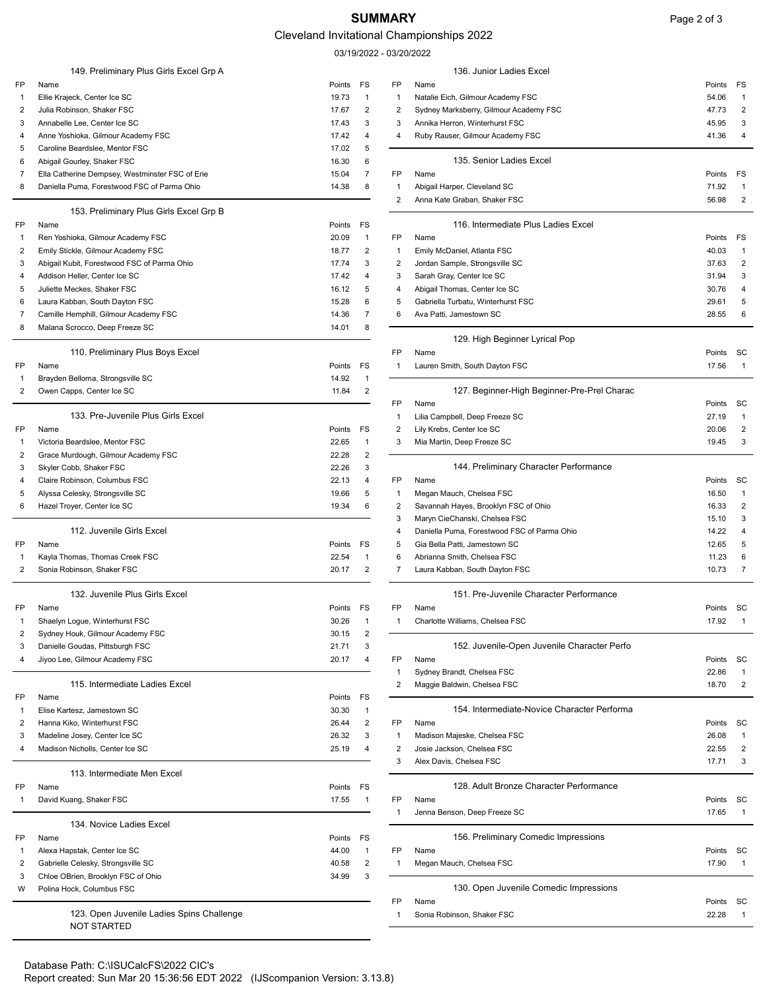## SUMMARY Page 2 of 3

### Cleveland Invitational Championships 2022

03/19/2022 - 03/20/2022

|                         | 149. Preliminary Plus Girls Excel Grp A         |        |                |                | 136. Junior Ladies Excel                    |           |                |
|-------------------------|-------------------------------------------------|--------|----------------|----------------|---------------------------------------------|-----------|----------------|
| FP                      | Name                                            | Points | FS             | FP             | Name                                        | Points FS |                |
| $\mathbf{1}$            | Ellie Krajeck, Center Ice SC                    | 19.73  | $\mathbf{1}$   | 1              | Natalie Eich, Gilmour Academy FSC           | 54.06     | -1             |
| 2                       | Julia Robinson, Shaker FSC                      | 17.67  | $\overline{2}$ | 2              | Sydney Marksberry, Gilmour Academy FSC      | 47.73     | 2              |
| 3                       | Annabelle Lee, Center Ice SC                    | 17.43  | 3              | 3              | Annika Herron, Winterhurst FSC              | 45.95     | 3              |
| 4                       | Anne Yoshioka, Gilmour Academy FSC              | 17.42  | 4              | 4              | Ruby Rauser, Gilmour Academy FSC            | 41.36     | $\overline{4}$ |
| 5                       | Caroline Beardslee, Mentor FSC                  | 17.02  | 5              |                |                                             |           |                |
| 6                       | Abigail Gourley, Shaker FSC                     | 16.30  | 6              |                | 135. Senior Ladies Excel                    |           |                |
| 7                       | Ella Catherine Dempsey, Westminster FSC of Erie | 15.04  | $\overline{7}$ | FP             | Name                                        | Points    | FS             |
| 8                       | Daniella Puma, Forestwood FSC of Parma Ohio     | 14.38  | 8              | 1              | Abigail Harper, Cleveland SC                | 71.92     |                |
|                         |                                                 |        |                | 2              | Anna Kate Graban, Shaker FSC                | 56.98     | $\overline{2}$ |
|                         | 153. Preliminary Plus Girls Excel Grp B         |        |                |                |                                             |           |                |
| FP                      | Name                                            | Points | FS             |                | 116. Intermediate Plus Ladies Excel         |           |                |
| $\mathbf{1}$            | Ren Yoshioka, Gilmour Academy FSC               | 20.09  | $\overline{1}$ | FP             | Name                                        | Points    | FS             |
| $\overline{2}$          | Emily Stickle, Gilmour Academy FSC              | 18.77  | 2              | 1              | Emily McDaniel, Atlanta FSC                 | 40.03     | -1             |
| 3                       | Abigail Kubit, Forestwood FSC of Parma Ohio     | 17.74  | 3              | 2              | Jordan Sample, Strongsville SC              | 37.63     | 2              |
| 4                       | Addison Heller, Center Ice SC                   | 17.42  | $\overline{4}$ | 3              | Sarah Gray, Center Ice SC                   | 31.94     | 3              |
| 5                       | Juliette Meckes, Shaker FSC                     | 16.12  | 5              | 4              | Abigail Thomas, Center Ice SC               | 30.76     | 4              |
| 6                       | Laura Kabban, South Dayton FSC                  | 15.28  | 6              | 5              | Gabriella Turbatu, Winterhurst FSC          | 29.61     | 5              |
| 7                       | Camille Hemphill, Gilmour Academy FSC           | 14.36  | 7              | 6              | Ava Patti, Jamestown SC                     | 28.55     | 6              |
| 8                       | Malana Scrocco, Deep Freeze SC                  | 14.01  | 8              |                |                                             |           |                |
|                         |                                                 |        |                |                | 129. High Beginner Lyrical Pop              |           |                |
|                         | 110. Preliminary Plus Boys Excel                |        |                | <b>FP</b>      | Name                                        | Points    | SC             |
| FP                      | Name                                            | Points | FS             | -1             | Lauren Smith, South Dayton FSC              | 17.56     |                |
| -1                      | Brayden Belloma, Strongsville SC                | 14.92  | -1             |                |                                             |           |                |
| 2                       | Owen Capps, Center Ice SC                       | 11.84  | $\overline{2}$ |                | 127. Beginner-High Beginner-Pre-Prel Charac |           |                |
|                         |                                                 |        |                | FP             | Name                                        | Points SC |                |
|                         | 133. Pre-Juvenile Plus Girls Excel              |        |                | 1              | Lilia Campbell, Deep Freeze SC              | 27.19     |                |
| FP                      | Name                                            | Points | FS             | 2              | Lily Krebs, Center Ice SC                   | 20.06     | $\overline{2}$ |
| -1                      | Victoria Beardslee, Mentor FSC                  | 22.65  | -1             | 3              | Mia Martin, Deep Freeze SC                  | 19.45     | 3              |
| 2                       | Grace Murdough, Gilmour Academy FSC             | 22.28  | $\overline{2}$ |                |                                             |           |                |
| 3                       | Skyler Cobb, Shaker FSC                         | 22.26  | 3              |                | 144. Preliminary Character Performance      |           |                |
| 4                       | Claire Robinson, Columbus FSC                   | 22.13  | 4              | FP             | Name                                        | Points    | - SC           |
| 5                       | Alyssa Celesky, Strongsville SC                 | 19.66  | 5              | 1              | Megan Mauch, Chelsea FSC                    | 16.50     |                |
| 6                       | Hazel Troyer, Center Ice SC                     | 19.34  | 6              | 2              | Savannah Hayes, Brooklyn FSC of Ohio        | 16.33     | $\overline{2}$ |
|                         |                                                 |        |                | 3              | Maryn CieChanski, Chelsea FSC               | 15.10     | 3              |
|                         | 112. Juvenile Girls Excel                       |        |                | $\overline{4}$ | Daniella Puma, Forestwood FSC of Parma Ohio | 14.22     | 4              |
| FP                      | Name                                            | Points | FS             | 5              | Gia Bella Patti, Jamestown SC               | 12.65     | 5              |
| -1                      | Kayla Thomas, Thomas Creek FSC                  | 22.54  | 1              | 6              | Abrianna Smith, Chelsea FSC                 | 11.23     | 6              |
| 2                       | Sonia Robinson, Shaker FSC                      | 20.17  | $\overline{2}$ | 7              | Laura Kabban, South Dayton FSC              | 10.73     | 7              |
|                         |                                                 |        |                |                |                                             |           |                |
|                         | 132. Juvenile Plus Girls Excel                  |        |                |                | 151. Pre-Juvenile Character Performance     |           |                |
| FP                      | Name                                            | Points | FS             | FP             | Name                                        | Points SC |                |
|                         | Shaelyn Logue, Winterhurst FSC                  | 30.26  |                |                | Charlotte Williams, Chelsea FSC             | 17.92     | $\overline{1}$ |
| 2                       | Sydney Houk, Gilmour Academy FSC                | 30.15  | $\overline{2}$ |                |                                             |           |                |
| 3                       | Danielle Goudas, Pittsburgh FSC                 | 21.71  | 3              |                | 152. Juvenile-Open Juvenile Character Perfo |           |                |
| $\overline{4}$          | Jiyoo Lee, Gilmour Academy FSC                  | 20.17  | 4              | FP             | Name                                        | Points SC |                |
|                         |                                                 |        |                |                | Sydney Brandt, Chelsea FSC                  | 22.86     |                |
|                         | 115. Intermediate Ladies Excel                  |        |                | $\overline{2}$ | Maggie Baldwin, Chelsea FSC                 | 18.70     | $\overline{2}$ |
| FP                      | Name                                            | Points | FS             |                |                                             |           |                |
| $\overline{\mathbf{1}}$ | Elise Kartesz, Jamestown SC                     | 30.30  | -1             |                | 154. Intermediate-Novice Character Performa |           |                |
| 2                       | Hanna Kiko, Winterhurst FSC                     | 26.44  | $\overline{2}$ | FP             | Name                                        | Points SC |                |
| 3                       | Madeline Josey, Center Ice SC                   | 26.32  | 3              | 1              | Madison Majeske, Chelsea FSC                | 26.08     | -1             |
| 4                       | Madison Nicholls, Center Ice SC                 | 25.19  | $\overline{4}$ | 2              | Josie Jackson, Chelsea FSC                  | 22.55     | $\overline{2}$ |
|                         |                                                 |        |                | 3              | Alex Davis, Chelsea FSC                     | 17.71     | 3              |
|                         | 113. Intermediate Men Excel                     |        |                |                |                                             |           |                |
| FP                      | Name                                            | Points | FS             |                | 128. Adult Bronze Character Performance     |           |                |
| -1                      | David Kuang, Shaker FSC                         | 17.55  | -1             | FP             | Name                                        | Points    | - SC           |
|                         |                                                 |        |                | -1             | Jenna Benson, Deep Freeze SC                | 17.65     | -1             |
|                         | 134. Novice Ladies Excel                        |        |                |                |                                             |           |                |
| FP                      | Name                                            | Points | FS             |                | 156. Preliminary Comedic Impressions        |           |                |
| -1                      | Alexa Hapstak, Center Ice SC                    | 44.00  | $\mathbf{1}$   | FP             | Name                                        | Points SC |                |
| 2                       | Gabrielle Celesky, Strongsville SC              | 40.58  | $\overline{2}$ | 1              | Megan Mauch, Chelsea FSC                    | 17.90     |                |
| 3                       | Chloe OBrien, Brooklyn FSC of Ohio              | 34.99  | 3              |                |                                             |           |                |
| W                       | Polina Hock, Columbus FSC                       |        |                |                | 130. Open Juvenile Comedic Impressions      |           |                |
|                         |                                                 |        |                | FP             | Name                                        | Points    | SC             |
|                         | 123. Open Juvenile Ladies Spins Challenge       |        |                | -1             | Sonia Robinson, Shaker FSC                  | 22.28     |                |
|                         | <b>NOT STARTED</b>                              |        |                |                |                                             |           |                |

| 7              | Ella Catherine Dempsey, Westminster FSC of Erie | 15.04  | 7              | FP           | Name                                        | Points    | FS             |
|----------------|-------------------------------------------------|--------|----------------|--------------|---------------------------------------------|-----------|----------------|
| 8              | Daniella Puma, Forestwood FSC of Parma Ohio     | 14.38  | 8              | -1           | Abigail Harper, Cleveland SC                | 71.92     | $\mathbf{1}$   |
|                |                                                 |        |                | 2            | Anna Kate Graban, Shaker FSC                | 56.98     | $\overline{2}$ |
|                | 153. Preliminary Plus Girls Excel Grp B         |        |                |              |                                             |           |                |
| FP             | Name                                            | Points | FS             |              | 116. Intermediate Plus Ladies Excel         |           |                |
| -1             | Ren Yoshioka, Gilmour Academy FSC               | 20.09  | $\mathbf{1}$   | FP           | Name                                        | Points    | FS             |
|                |                                                 |        |                |              |                                             |           |                |
| 2              | Emily Stickle, Gilmour Academy FSC              | 18.77  | $\overline{c}$ | 1            | Emily McDaniel, Atlanta FSC                 | 40.03     | $\mathbf{1}$   |
| 3              | Abigail Kubit, Forestwood FSC of Parma Ohio     | 17.74  | 3              | 2            | Jordan Sample, Strongsville SC              | 37.63     | $\overline{2}$ |
| 4              | Addison Heller, Center Ice SC                   | 17.42  | 4              | 3            | Sarah Gray, Center Ice SC                   | 31.94     | 3              |
| 5              | Juliette Meckes, Shaker FSC                     | 16.12  | 5              | 4            | Abigail Thomas, Center Ice SC               | 30.76     | 4              |
| 6              | Laura Kabban, South Dayton FSC                  | 15.28  | 6              | 5            | Gabriella Turbatu, Winterhurst FSC          | 29.61     | 5              |
| 7              | Camille Hemphill, Gilmour Academy FSC           | 14.36  | 7              | 6            | Ava Patti, Jamestown SC                     | 28.55     | 6              |
| 8              | Malana Scrocco, Deep Freeze SC                  | 14.01  | 8              |              |                                             |           |                |
|                |                                                 |        |                |              | 129. High Beginner Lyrical Pop              |           |                |
|                | 110. Preliminary Plus Boys Excel                |        |                | FP           | Name                                        | Points    | SС             |
| FP             | Name                                            | Points | FS             | $\mathbf{1}$ | Lauren Smith, South Dayton FSC              | 17.56     | $\mathbf{1}$   |
| -1             | Brayden Belloma, Strongsville SC                | 14.92  | -1             |              |                                             |           |                |
| 2              | Owen Capps, Center Ice SC                       | 11.84  | $\overline{c}$ |              | 127. Beginner-High Beginner-Pre-Prel Charac |           |                |
|                |                                                 |        |                | FP           | Name                                        | Points    | SС             |
|                | 133. Pre-Juvenile Plus Girls Excel              |        |                | $\mathbf{1}$ | Lilia Campbell, Deep Freeze SC              | 27.19     | $\mathbf{1}$   |
| FP             | Name                                            | Points | FS             | 2            | Lily Krebs, Center Ice SC                   | 20.06     | $\overline{2}$ |
| $\overline{1}$ | Victoria Beardslee, Mentor FSC                  | 22.65  | $\overline{1}$ | 3            | Mia Martin, Deep Freeze SC                  | 19.45     | 3              |
| $\overline{2}$ | Grace Murdough, Gilmour Academy FSC             | 22.28  | $\overline{2}$ |              |                                             |           |                |
| 3              | Skyler Cobb, Shaker FSC                         | 22.26  | 3              |              | 144. Preliminary Character Performance      |           |                |
| 4              | Claire Robinson, Columbus FSC                   | 22.13  | $\overline{4}$ | FP           | Name                                        | Points    | SС             |
| 5              | Alyssa Celesky, Strongsville SC                 | 19.66  | 5              | $\mathbf{1}$ | Megan Mauch, Chelsea FSC                    | 16.50     | $\overline{1}$ |
|                | Hazel Troyer, Center Ice SC                     |        | 6              |              |                                             | 16.33     | $\overline{2}$ |
| 6              |                                                 | 19.34  |                | 2            | Savannah Hayes, Brooklyn FSC of Ohio        |           |                |
|                |                                                 |        |                | 3            | Maryn CieChanski, Chelsea FSC               | 15.10     | 3              |
|                | 112. Juvenile Girls Excel                       |        |                | 4            | Daniella Puma, Forestwood FSC of Parma Ohio | 14.22     | 4              |
| FP             | Name                                            | Points | FS             | 5            | Gia Bella Patti, Jamestown SC               | 12.65     | 5              |
| -1             | Kayla Thomas, Thomas Creek FSC                  | 22.54  | $\mathbf{1}$   | 6            | Abrianna Smith, Chelsea FSC                 | 11.23     | 6              |
| 2              | Sonia Robinson, Shaker FSC                      | 20.17  | 2              | 7            | Laura Kabban, South Dayton FSC              | 10.73     | 7              |
|                |                                                 |        |                |              |                                             |           |                |
|                | 132. Juvenile Plus Girls Excel                  |        |                |              | 151. Pre-Juvenile Character Performance     |           |                |
| FP             | Name                                            | Points | FS             | FP           | Name                                        | Points    | SС             |
| $\mathbf{1}$   | Shaelyn Logue, Winterhurst FSC                  | 30.26  | $\mathbf{1}$   | 1            | Charlotte Williams, Chelsea FSC             | 17.92     | $\overline{1}$ |
| 2              | Sydney Houk, Gilmour Academy FSC                | 30.15  | $\overline{2}$ |              |                                             |           |                |
| 3              | Danielle Goudas, Pittsburgh FSC                 | 21.71  | 3              |              | 152. Juvenile-Open Juvenile Character Perfo |           |                |
| 4              | Jiyoo Lee, Gilmour Academy FSC                  | 20.17  | 4              | FP           | Name                                        | Points    | SС             |
|                |                                                 |        |                | $\mathbf{1}$ | Sydney Brandt, Chelsea FSC                  | 22.86     | $\mathbf{1}$   |
|                | 115. Intermediate Ladies Excel                  |        |                | 2            | Maggie Baldwin, Chelsea FSC                 | 18.70     | 2              |
|                | Name                                            | Points | FS             |              |                                             |           |                |
| 1              | Elise Kartesz, Jamestown SC                     | 30.30  | $\mathbf{1}$   |              | 154. Intermediate-Novice Character Performa |           |                |
| 2              | Hanna Kiko, Winterhurst FSC                     | 26.44  | $\overline{2}$ | FP           | Name                                        | Points SC |                |
| 3              | Madeline Josey, Center Ice SC                   | 26.32  | 3              | -1           | Madison Majeske, Chelsea FSC                | 26.08     |                |
| 4              | Madison Nicholls, Center Ice SC                 | 25.19  | 4              | 2            | Josie Jackson, Chelsea FSC                  | 22.55     | $\overline{2}$ |
|                |                                                 |        |                | 3            | Alex Davis, Chelsea FSC                     | 17.71     | 3              |
|                | 113. Intermediate Men Excel                     |        |                |              |                                             |           |                |
| FP             | Name                                            | Points | FS             |              | 128. Adult Bronze Character Performance     |           |                |
| -1             | David Kuang, Shaker FSC                         | 17.55  | $\mathbf{1}$   | FP           | Name                                        | Points    | SС             |
|                |                                                 |        |                | $\mathbf{1}$ | Jenna Benson, Deep Freeze SC                | 17.65     | $\overline{1}$ |
|                | 134. Novice Ladies Excel                        |        |                |              |                                             |           |                |
| FP             | Name                                            | Points | FS             |              | 156. Preliminary Comedic Impressions        |           |                |
| $\mathbf{1}$   | Alexa Hapstak, Center Ice SC                    | 44.00  | $\mathbf{1}$   | FP           | Name                                        | Points    | sc             |
|                |                                                 |        |                |              |                                             |           |                |
| 2              | Gabrielle Celesky, Strongsville SC              | 40.58  | $\overline{2}$ | $\mathbf{1}$ | Megan Mauch, Chelsea FSC                    | 17.90     | $\mathbf{1}$   |
| 3              | Chloe OBrien, Brooklyn FSC of Ohio              | 34.99  | 3              |              |                                             |           |                |
| w              | Polina Hock, Columbus FSC                       |        |                |              | 130. Open Juvenile Comedic Impressions      |           |                |
|                |                                                 |        |                | FP           | Name                                        | Points    | -SC            |
|                |                                                 |        |                |              | Sonia Robinson, Shaker FSC                  | 22.28     | $\overline{1}$ |
|                | 123. Open Juvenile Ladies Spins Challenge       |        |                | -1           |                                             |           |                |